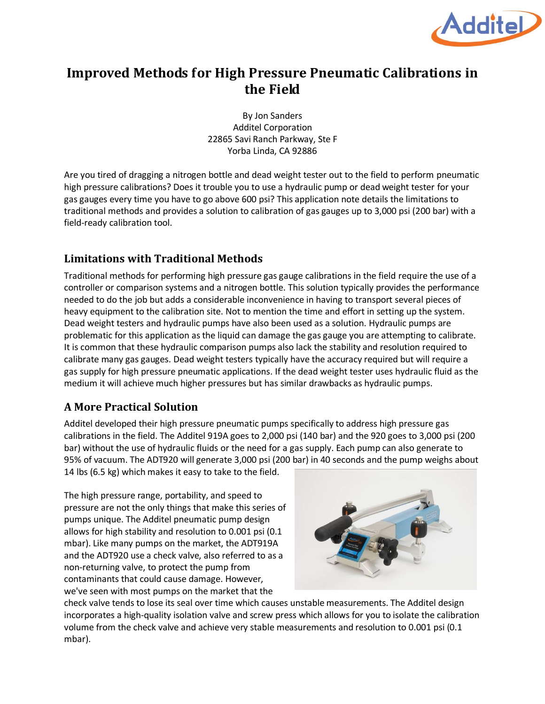

## **Improved Methods for High Pressure Pneumatic Calibrations in the Field**

By Jon Sanders Additel Corporation 22865 Savi Ranch Parkway, Ste F Yorba Linda, CA 92886

Are you tired of dragging a nitrogen bottle and dead weight tester out to the field to perform pneumatic high pressure calibrations? Does it trouble you to use a hydraulic pump or dead weight tester for your gas gauges every time you have to go above 600 psi? This application note details the limitations to traditional methods and provides a solution to calibration of gas gauges up to 3,000 psi (200 bar) with a field-ready calibration tool.

## **Limitations with Traditional Methods**

Traditional methods for performing high pressure gas gauge calibrations in the field require the use of a controller or comparison systems and a nitrogen bottle. This solution typically provides the performance needed to do the job but adds a considerable inconvenience in having to transport several pieces of heavy equipment to the calibration site. Not to mention the time and effort in setting up the system. Dead weight testers and hydraulic pumps have also been used as a solution. Hydraulic pumps are problematic for this application as the liquid can damage the gas gauge you are attempting to calibrate. It is common that these hydraulic comparison pumps also lack the stability and resolution required to calibrate many gas gauges. Dead weight testers typically have the accuracy required but will require a gas supply for high pressure pneumatic applications. If the dead weight tester uses hydraulic fluid as the medium it will achieve much higher pressures but has similar drawbacks as hydraulic pumps.

## **A More Practical Solution**

Additel developed their high pressure pneumatic pumps specifically to address high pressure gas calibrations in the field. The Additel 919A goes to 2,000 psi (140 bar) and the 920 goes to 3,000 psi (200 bar) without the use of hydraulic fluids or the need for a gas supply. Each pump can also generate to 95% of vacuum. The ADT920 will generate 3,000 psi (200 bar) in 40 seconds and the pump weighs about 14 lbs (6.5 kg) which makes it easy to take to the field.

The high pressure range, portability, and speed to pressure are not the only things that make this series of pumps unique. The Additel pneumatic pump design allows for high stability and resolution to 0.001 psi (0.1 mbar). Like many pumps on the market, the ADT919A and the ADT920 use a check valve, also referred to as a non-returning valve, to protect the pump from contaminants that could cause damage. However, we've seen with most pumps on the market that the



check valve tends to lose its seal over time which causes unstable measurements. The Additel design incorporates a high-quality isolation valve and screw press which allows for you to isolate the calibration volume from the check valve and achieve very stable measurements and resolution to 0.001 psi (0.1 mbar).